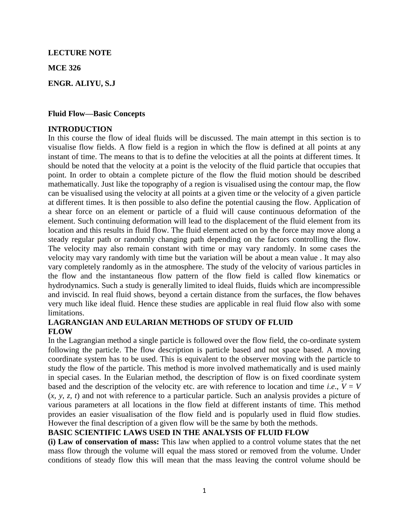### **LECTURE NOTE**

**MCE 326**

# **ENGR. ALIYU, S.J**

### **Fluid Flow—Basic Concepts**

### **INTRODUCTION**

In this course the flow of ideal fluids will be discussed. The main attempt in this section is to visualise flow fields. A flow field is a region in which the flow is defined at all points at any instant of time. The means to that is to define the velocities at all the points at different times. It should be noted that the velocity at a point is the velocity of the fluid particle that occupies that point. In order to obtain a complete picture of the flow the fluid motion should be described mathematically. Just like the topography of a region is visualised using the contour map, the flow can be visualised using the velocity at all points at a given time or the velocity of a given particle at different times. It is then possible to also define the potential causing the flow. Application of a shear force on an element or particle of a fluid will cause continuous deformation of the element. Such continuing deformation will lead to the displacement of the fluid element from its location and this results in fluid flow. The fluid element acted on by the force may move along a steady regular path or randomly changing path depending on the factors controlling the flow. The velocity may also remain constant with time or may vary randomly. In some cases the velocity may vary randomly with time but the variation will be about a mean value . It may also vary completely randomly as in the atmosphere. The study of the velocity of various particles in the flow and the instantaneous flow pattern of the flow field is called flow kinematics or hydrodynamics. Such a study is generally limited to ideal fluids, fluids which are incompressible and inviscid. In real fluid shows, beyond a certain distance from the surfaces, the flow behaves very much like ideal fluid. Hence these studies are applicable in real fluid flow also with some limitations.

# **LAGRANGIAN AND EULARIAN METHODS OF STUDY OF FLUID FLOW**

In the Lagrangian method a single particle is followed over the flow field, the co-ordinate system following the particle. The flow description is particle based and not space based. A moving coordinate system has to be used. This is equivalent to the observer moving with the particle to study the flow of the particle. This method is more involved mathematically and is used mainly in special cases. In the Eularian method, the description of flow is on fixed coordinate system based and the description of the velocity etc. are with reference to location and time *i.e.*,  $V = V$ (*x, y, z, t*) and not with reference to a particular particle. Such an analysis provides a picture of various parameters at all locations in the flow field at different instants of time. This method provides an easier visualisation of the flow field and is popularly used in fluid flow studies. However the final description of a given flow will be the same by both the methods.

# **BASIC SCIENTIFIC LAWS USED IN THE ANALYSIS OF FLUID FLOW**

**(i) Law of conservation of mass:** This law when applied to a control volume states that the net mass flow through the volume will equal the mass stored or removed from the volume. Under conditions of steady flow this will mean that the mass leaving the control volume should be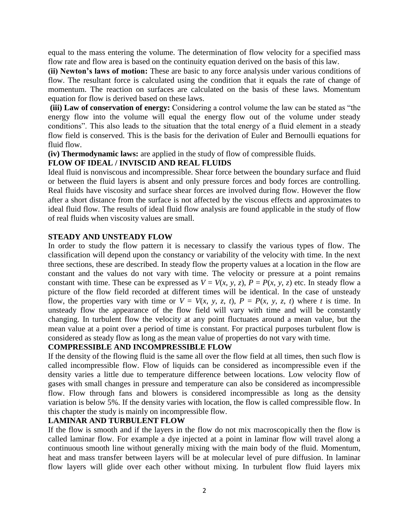equal to the mass entering the volume. The determination of flow velocity for a specified mass flow rate and flow area is based on the continuity equation derived on the basis of this law.

**(ii) Newton's laws of motion:** These are basic to any force analysis under various conditions of flow. The resultant force is calculated using the condition that it equals the rate of change of momentum. The reaction on surfaces are calculated on the basis of these laws. Momentum equation for flow is derived based on these laws.

**(iii) Law of conservation of energy:** Considering a control volume the law can be stated as "the energy flow into the volume will equal the energy flow out of the volume under steady conditions". This also leads to the situation that the total energy of a fluid element in a steady flow field is conserved. This is the basis for the derivation of Euler and Bernoulli equations for fluid flow.

**(iv) Thermodynamic laws:** are applied in the study of flow of compressible fluids.

# **FLOW OF IDEAL / INVISCID AND REAL FLUIDS**

Ideal fluid is nonviscous and incompressible. Shear force between the boundary surface and fluid or between the fluid layers is absent and only pressure forces and body forces are controlling. Real fluids have viscosity and surface shear forces are involved during flow. However the flow after a short distance from the surface is not affected by the viscous effects and approximates to ideal fluid flow. The results of ideal fluid flow analysis are found applicable in the study of flow of real fluids when viscosity values are small.

# **STEADY AND UNSTEADY FLOW**

In order to study the flow pattern it is necessary to classify the various types of flow. The classification will depend upon the constancy or variability of the velocity with time. In the next three sections, these are described. In steady flow the property values at a location in the flow are constant and the values do not vary with time. The velocity or pressure at a point remains constant with time. These can be expressed as  $V = V(x, y, z)$ ,  $P = P(x, y, z)$  etc. In steady flow a picture of the flow field recorded at different times will be identical. In the case of unsteady flow, the properties vary with time or  $V = V(x, y, z, t)$ ,  $P = P(x, y, z, t)$  where *t* is time. In unsteady flow the appearance of the flow field will vary with time and will be constantly changing. In turbulent flow the velocity at any point fluctuates around a mean value, but the mean value at a point over a period of time is constant. For practical purposes turbulent flow is considered as steady flow as long as the mean value of properties do not vary with time.

# **COMPRESSIBLE AND INCOMPRESSIBLE FLOW**

If the density of the flowing fluid is the same all over the flow field at all times, then such flow is called incompressible flow. Flow of liquids can be considered as incompressible even if the density varies a little due to temperature difference between locations. Low velocity flow of gases with small changes in pressure and temperature can also be considered as incompressible flow. Flow through fans and blowers is considered incompressible as long as the density variation is below 5%. If the density varies with location, the flow is called compressible flow. In this chapter the study is mainly on incompressible flow.

# **LAMINAR AND TURBULENT FLOW**

If the flow is smooth and if the layers in the flow do not mix macroscopically then the flow is called laminar flow. For example a dye injected at a point in laminar flow will travel along a continuous smooth line without generally mixing with the main body of the fluid. Momentum, heat and mass transfer between layers will be at molecular level of pure diffusion. In laminar flow layers will glide over each other without mixing. In turbulent flow fluid layers mix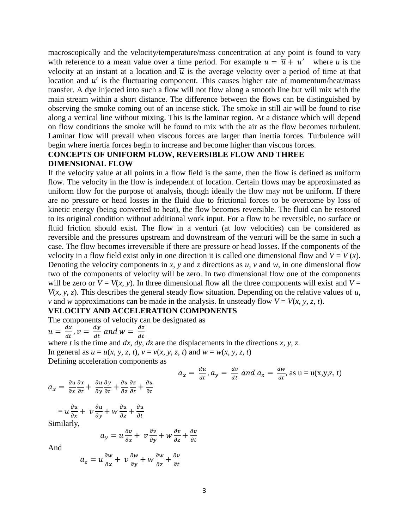macroscopically and the velocity/temperature/mass concentration at any point is found to vary with reference to a mean value over a time period. For example  $u = \overline{u} + u'$  where u is the velocity at an instant at a location and  $\overline{u}$  is the average velocity over a period of time at that location and  $u'$  is the fluctuating component. This causes higher rate of momentum/heat/mass transfer. A dye injected into such a flow will not flow along a smooth line but will mix with the main stream within a short distance. The difference between the flows can be distinguished by observing the smoke coming out of an incense stick. The smoke in still air will be found to rise along a vertical line without mixing. This is the laminar region. At a distance which will depend on flow conditions the smoke will be found to mix with the air as the flow becomes turbulent. Laminar flow will prevail when viscous forces are larger than inertia forces. Turbulence will begin where inertia forces begin to increase and become higher than viscous forces.

#### **CONCEPTS OF UNIFORM FLOW, REVERSIBLE FLOW AND THREE DIMENSIONAL FLOW**

If the velocity value at all points in a flow field is the same, then the flow is defined as uniform flow. The velocity in the flow is independent of location. Certain flows may be approximated as uniform flow for the purpose of analysis, though ideally the flow may not be uniform. If there are no pressure or head losses in the fluid due to frictional forces to be overcome by loss of kinetic energy (being converted to heat), the flow becomes reversible. The fluid can be restored to its original condition without additional work input. For a flow to be reversible, no surface or fluid friction should exist. The flow in a venturi (at low velocities) can be considered as reversible and the pressures upstream and downstream of the venturi will be the same in such a case. The flow becomes irreversible if there are pressure or head losses. If the components of the velocity in a flow field exist only in one direction it is called one dimensional flow and  $V = V(x)$ . Denoting the velocity components in *x*, *y* and *z* directions as *u*, *v* and *w*, in one dimensional flow two of the components of velocity will be zero. In two dimensional flow one of the components will be zero or  $V = V(x, y)$ . In three dimensional flow all the three components will exist and  $V =$ *V*( $x$ ,  $y$ ,  $z$ ). This describes the general steady flow situation. Depending on the relative values of  $u$ , *v* and *w* approximations can be made in the analysis. In unsteady flow  $V = V(x, y, z, t)$ .

# **VELOCITY AND ACCELERATION COMPONENTS**

The components of velocity can be designated as

$$
u = \frac{dx}{dt}, v = \frac{dy}{dt}
$$
 and  $w = \frac{dz}{dt}$   
where *t* is the time and *dx*, *dy*, *dz* are the displacements in the directions *x*, *y*, *z*.  
In general as  $u = u(x, y, z, t), v = v(x, y, z, t)$  and  $w = w(x, y, z, t)$   
Defining acceleration components as

$$
a_x = \frac{du}{dt}, a_y = \frac{dv}{dt} \text{ and } a_z = \frac{dw}{dt} \text{ as } u = u(x,y,z,t)
$$

$$
a_x = \frac{\partial u}{\partial x}\frac{\partial x}{\partial t} + \frac{\partial u}{\partial y}\frac{\partial y}{\partial t} + \frac{\partial u}{\partial z}\frac{\partial z}{\partial t} + \frac{\partial u}{\partial t}
$$

$$
= u \frac{\partial u}{\partial x} + v \frac{\partial u}{\partial y} + w \frac{\partial u}{\partial z} + \frac{\partial u}{\partial t}
$$
  
Similarly

Similarly,

$$
a_y = u \frac{\partial v}{\partial x} + v \frac{\partial v}{\partial y} + w \frac{\partial v}{\partial z} + \frac{\partial v}{\partial t}
$$

And

$$
a_z = u \frac{\partial w}{\partial x} + v \frac{\partial w}{\partial y} + w \frac{\partial w}{\partial z} + \frac{\partial v}{\partial t}
$$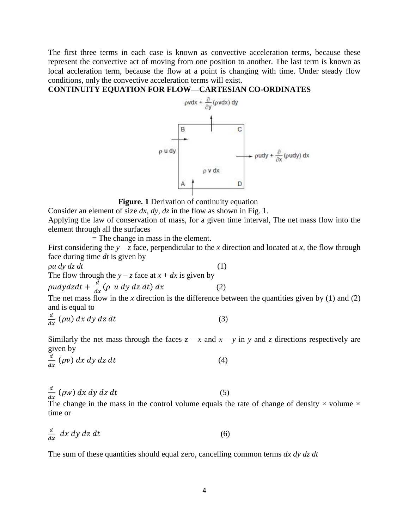The first three terms in each case is known as convective acceleration terms, because these represent the convective act of moving from one position to another. The last term is known as local accleration term, because the flow at a point is changing with time. Under steady flow conditions, only the convective acceleration terms will exist.

# **CONTINUITY EQUATION FOR FLOW—CARTESIAN CO-ORDINATES**



**Figure. 1** Derivation of continuity equation

Consider an element of size *dx*, *dy*, *dz* in the flow as shown in Fig. 1. Applying the law of conservation of mass, for a given time interval, The net mass flow into the element through all the surfaces

= The change in mass in the element.

First considering the  $y - z$  face, perpendicular to the *x* direction and located at *x*, the flow through face during time *dt* is given by

ρ*u dy dz dt* (1)

The flow through the  $y - z$  face at  $x + dx$  is given by

$$
\rho u dy dz dt + \frac{d}{dx} (\rho u dy dz dt) dx \qquad (2)
$$

The net mass flow in the *x* direction is the difference between the quantities given by (1) and (2) and is equal to

$$
\frac{d}{dx} \left( \rho u \right) dx \, dy \, dz \, dt \tag{3}
$$

Similarly the net mass through the faces  $z - x$  and  $x - y$  in y and z directions respectively are given by

$$
\frac{d}{dx} \left( \rho v \right) dx \, dy \, dz \, dt \tag{4}
$$

$$
\frac{d}{dx} \left( \rho w \right) dx \, dy \, dz \, dt \tag{5}
$$

The change in the mass in the control volume equals the rate of change of density  $\times$  volume  $\times$ time or

$$
\frac{d}{dx} dx dy dz dt
$$
 (6)

The sum of these quantities should equal zero, cancelling common terms *dx dy dz dt*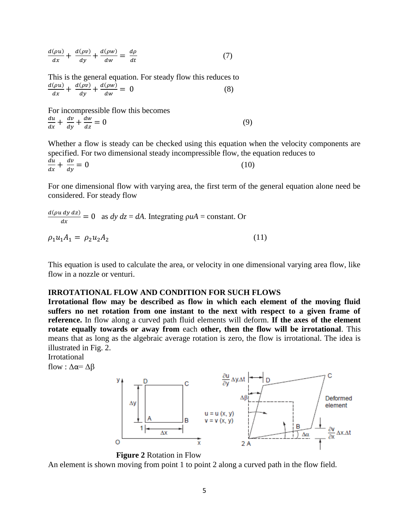$$
\frac{d(\rho u)}{dx} + \frac{d(\rho v)}{dy} + \frac{d(\rho w)}{dw} = \frac{d\rho}{dt} \tag{7}
$$

This is the general equation. For steady flow this reduces to  $d(\rho u)$  $\frac{(\rho u)}{dx} + \frac{d(\rho v)}{dy}$  $\frac{(\rho v)}{dy} + \frac{d(\rho w)}{dw}$  $\frac{\partial w}{\partial w} = 0$  (8)

For incompressible flow this becomes  $\boldsymbol{d}$  $\frac{du}{dx} + \frac{d}{d}$  $rac{dv}{dy} + \frac{d}{dx}$  $\boldsymbol{d}$  $= 0$  (9)

Whether a flow is steady can be checked using this equation when the velocity components are specified. For two dimensional steady incompressible flow, the equation reduces to  $\boldsymbol{d}$  $\frac{du}{dx} + \frac{d}{d}$  $\boldsymbol{d}$  $= 0$  (10)

For one dimensional flow with varying area, the first term of the general equation alone need be considered. For steady flow

$$
\frac{d(\rho u \, dy \, dz)}{dx} = 0 \quad \text{as } dy \, dz = dA. \text{ Integrating } \rho uA = \text{constant. Or}
$$
\n
$$
\rho_1 u_1 A_1 = \rho_2 u_2 A_2 \tag{11}
$$

This equation is used to calculate the area, or velocity in one dimensional varying area flow, like flow in a nozzle or venturi.

#### **IRROTATIONAL FLOW AND CONDITION FOR SUCH FLOWS**

**Irrotational flow may be described as flow in which each element of the moving fluid suffers no net rotation from one instant to the next with respect to a given frame of reference.** In flow along a curved path fluid elements will deform. **If the axes of the element rotate equally towards or away from** each **other, then the flow will be irrotational**. This means that as long as the algebraic average rotation is zero, the flow is irrotational. The idea is illustrated in Fig. 2.

Irrotational

flow :  $\Delta \alpha = \Delta \beta$ 



 **Figure 2** Rotation in Flow

An element is shown moving from point 1 to point 2 along a curved path in the flow field.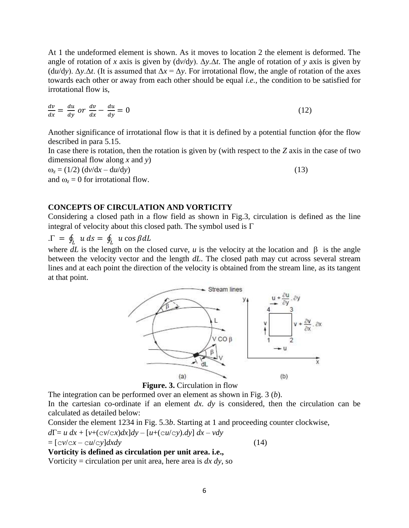At 1 the undeformed element is shown. As it moves to location 2 the element is deformed. The angle of rotation of *x* axis is given by ( $dv/dy$ ).  $\Delta y \Delta t$ . The angle of rotation of *y* axis is given by (d*u*/dy).  $\Delta y$ . $\Delta t$ . (It is assumed that  $\Delta x = \Delta y$ . For irrotational flow, the angle of rotation of the axes towards each other or away from each other should be equal *i.e.,* the condition to be satisfied for irrotational flow is,

$$
\frac{dv}{dx} = \frac{du}{dy} \text{ or } \frac{dv}{dx} - \frac{du}{dy} = 0 \tag{12}
$$

Another significance of irrotational flow is that it is defined by a potential function of the flow described in para 5.15.

In case there is rotation, then the rotation is given by (with respect to the *Z* axis in the case of two dimensional flow along *x* and *y*)

 $\omega_z = (1/2) \left( \frac{dv}{dx} - \frac{du}{dy} \right)$  (13) and  $\omega_z = 0$  for irrotational flow.

#### **CONCEPTS OF CIRCULATION AND VORTICITY**

Considering a closed path in a flow field as shown in Fig.3, circulation is defined as the line integral of velocity about this closed path. The symbol used is  $\Gamma$ 

 $\Gamma = \oint_t u ds = \oint_t u c$ 

where  $dL$  is the length on the closed curve, *u* is the velocity at the location and  $\beta$  is the angle between the velocity vector and the length *dL*. The closed path may cut across several stream lines and at each point the direction of the velocity is obtained from the stream line, as its tangent at that point.



 **Figure. 3.** Circulation in flow

The integration can be performed over an element as shown in Fig. 3 (*b*).

In the cartesian co-ordinate if an element *dx*. *dy* is considered, then the circulation can be calculated as detailed below:

Consider the element 1234 in Fig. 5.3*b*. Starting at 1 and proceeding counter clockwise,

$$
d\Gamma = u dx + [v + (cv/cx)dx]dy - [u + (cu/cy).dy] dx - vdy
$$

 $= [\text{cv}/\text{cx} - \text{cu}/\text{cv}]\,dxdy$  (14)

**Vorticity is defined as circulation per unit area. i.e.,**

Vorticity = circulation per unit area, here area is *dx dy*, so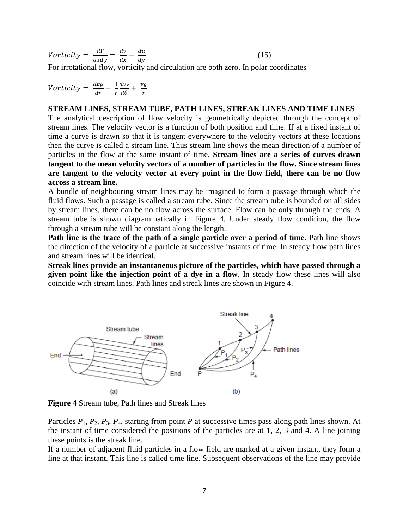Vorticity =  $\frac{d\Gamma}{dxd}$  $\frac{d\Gamma}{dx dy} = \frac{d}{d}$  $\frac{dv}{dx} - \frac{d}{d}$  $\boldsymbol{d}$  (15) For irrotational flow, vorticity and circulation are both zero. In polar coordinates

Vorticity =  $\frac{d}{dx}$  $rac{dv_{\theta}}{dr} - \frac{1}{r}$ r  $\boldsymbol{d}$  $\boldsymbol{d}$  $\boldsymbol{\mathcal{v}}$ r

#### **STREAM LINES, STREAM TUBE, PATH LINES, STREAK LINES AND TIME LINES**

The analytical description of flow velocity is geometrically depicted through the concept of stream lines. The velocity vector is a function of both position and time. If at a fixed instant of time a curve is drawn so that it is tangent everywhere to the velocity vectors at these locations then the curve is called a stream line. Thus stream line shows the mean direction of a number of particles in the flow at the same instant of time. **Stream lines are a series of curves drawn tangent to the mean velocity vectors of a number of particles in the flow. Since stream lines are tangent to the velocity vector at every point in the flow field, there can be no flow across a stream line.**

A bundle of neighbouring stream lines may be imagined to form a passage through which the fluid flows. Such a passage is called a stream tube. Since the stream tube is bounded on all sides by stream lines, there can be no flow across the surface. Flow can be only through the ends. A stream tube is shown diagrammatically in Figure 4. Under steady flow condition, the flow through a stream tube will be constant along the length.

**Path line is the trace of the path of a single particle over a period of time**. Path line shows the direction of the velocity of a particle at successive instants of time. In steady flow path lines and stream lines will be identical.

**Streak lines provide an instantaneous picture of the particles, which have passed through a given point like the injection point of a dye in a flow**. In steady flow these lines will also coincide with stream lines. Path lines and streak lines are shown in Figure 4.



**Figure 4** Stream tube, Path lines and Streak lines

Particles *P*1, *P*2, *P*3, *P*4, starting from point *P* at successive times pass along path lines shown. At the instant of time considered the positions of the particles are at 1, 2, 3 and 4. A line joining these points is the streak line.

If a number of adjacent fluid particles in a flow field are marked at a given instant, they form a line at that instant. This line is called time line. Subsequent observations of the line may provide